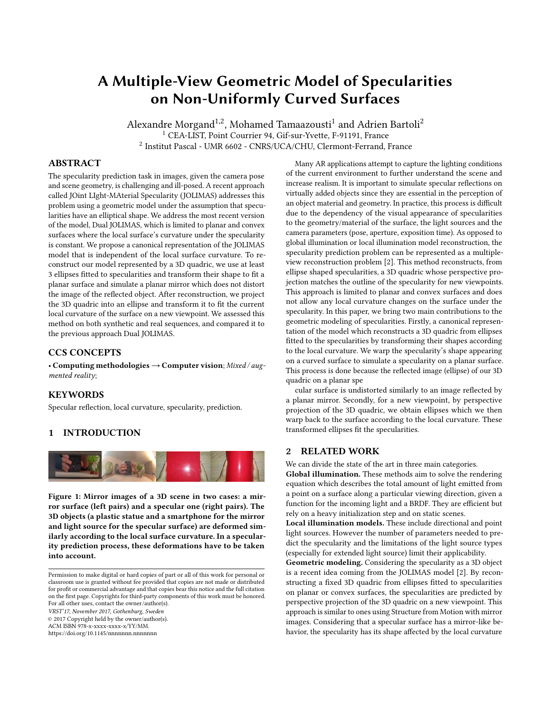# A Multiple-View Geometric Model of Specularities on Non-Uniformly Curved Surfaces

Alexandre Morgand $^{1,2}$ , Mohamed Tamaazousti $^1$  and Adrien Bartoli $^2$ <sup>1</sup> CEA-LIST, Point Courrier 94, Gif-sur-Yvette, F-91191, France 2 Institut Pascal - UMR 6602 - CNRS/UCA/CHU, Clermont-Ferrand, France

# ABSTRACT

The specularity prediction task in images, given the camera pose and scene geometry, is challenging and ill-posed. A recent approach called JOint LIght-MAterial Specularity (JOLIMAS) addresses this problem using a geometric model under the assumption that specularities have an elliptical shape. We address the most recent version of the model, Dual JOLIMAS, which is limited to planar and convex surfaces where the local surface's curvature under the specularity is constant. We propose a canonical representation of the JOLIMAS model that is independent of the local surface curvature. To reconstruct our model represented by a 3D quadric, we use at least 3 ellipses fitted to specularities and transform their shape to fit a planar surface and simulate a planar mirror which does not distort the image of the reflected object. After reconstruction, we project the 3D quadric into an ellipse and transform it to fit the current local curvature of the surface on a new viewpoint. We assessed this method on both synthetic and real sequences, and compared it to the previous approach Dual JOLIMAS.

## CCS CONCEPTS

• Computing methodologies→Computer vision; Mixed / augmented reality;

## **KEYWORDS**

Specular reflection, local curvature, specularity, prediction.

#### 1 INTRODUCTION

<span id="page-0-0"></span>

Figure 1: Mirror images of a 3D scene in two cases: a mirror surface (left pairs) and a specular one (right pairs). The 3D objects (a plastic statue and a smartphone for the mirror and light source for the specular surface) are deformed similarly according to the local surface curvature. In a specularity prediction process, these deformations have to be taken into account.

VRST'17, November 2017, Gothenburg, Sweden

© 2017 Copyright held by the owner/author(s).

ACM ISBN 978-x-xxxx-xxxx-x/YY/MM.

<https://doi.org/10.1145/nnnnnnn.nnnnnnn>

Many AR applications attempt to capture the lighting conditions of the current environment to further understand the scene and increase realism. It is important to simulate specular reflections on virtually added objects since they are essential in the perception of an object material and geometry. In practice, this process is difficult due to the dependency of the visual appearance of specularities to the geometry/material of the surface, the light sources and the camera parameters (pose, aperture, exposition time). As opposed to global illumination or local illumination model reconstruction, the specularity prediction problem can be represented as a multipleview reconstruction problem [\[2\]](#page-1-0). This method reconstructs, from ellipse shaped specularities, a 3D quadric whose perspective projection matches the outline of the specularity for new viewpoints. This approach is limited to planar and convex surfaces and does not allow any local curvature changes on the surface under the specularity. In this paper, we bring two main contributions to the geometric modeling of specularities. Firstly, a canonical representation of the model which reconstructs a 3D quadric from ellipses fitted to the specularities by transforming their shapes according to the local curvature. We warp the specularity's shape appearing on a curved surface to simulate a specularity on a planar surface. This process is done because the reflected image (ellipse) of our 3D quadric on a planar spe

cular surface is undistorted similarly to an image reflected by a planar mirror. Secondly, for a new viewpoint, by perspective projection of the 3D quadric, we obtain ellipses which we then warp back to the surface according to the local curvature. These transformed ellipses fit the specularities.

## 2 RELATED WORK

We can divide the state of the art in three main categories.

Global illumination. These methods aim to solve the rendering equation which describes the total amount of light emitted from a point on a surface along a particular viewing direction, given a function for the incoming light and a BRDF. They are efficient but rely on a heavy initialization step and on static scenes.

Local illumination models. These include directional and point light sources. However the number of parameters needed to predict the specularity and the limitations of the light source types (especially for extended light source) limit their applicability.

Geometric modeling. Considering the specularity as a 3D object is a recent idea coming from the JOLIMAS model [\[2\]](#page-1-0). By reconstructing a fixed 3D quadric from ellipses fitted to specularities on planar or convex surfaces, the specularities are predicted by perspective projection of the 3D quadric on a new viewpoint. This approach is similar to ones using Structure from Motion with mirror images. Considering that a specular surface has a mirror-like behavior, the specularity has its shape affected by the local curvature

Permission to make digital or hard copies of part or all of this work for personal or classroom use is granted without fee provided that copies are not made or distributed for profit or commercial advantage and that copies bear this notice and the full citation on the first page. Copyrights for third-party components of this work must be honored. For all other uses, contact the owner/author(s).